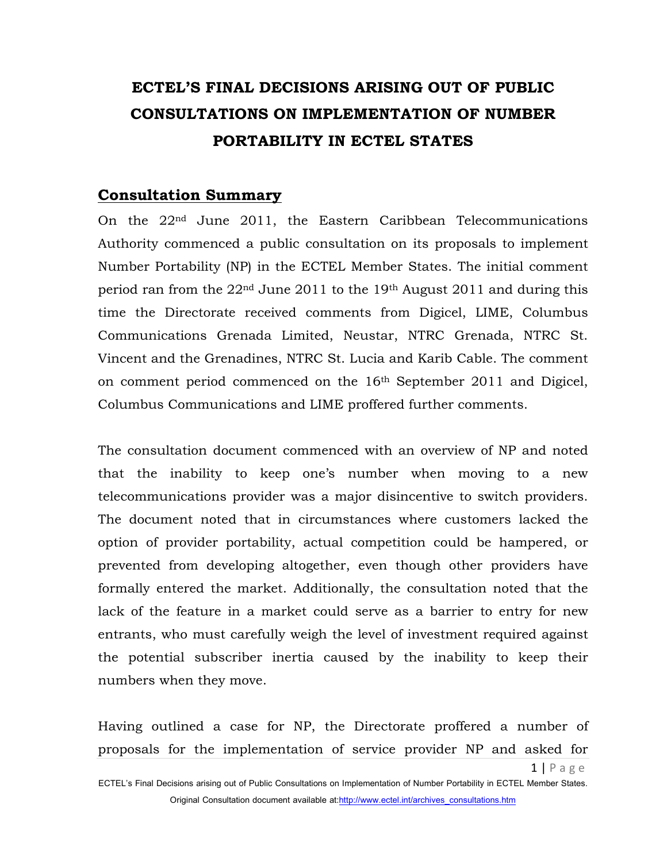# **ECTEL'S FINAL DECISIONS ARISING OUT OF PUBLIC CONSULTATIONS ON IMPLEMENTATION OF NUMBER PORTABILITY IN ECTEL STATES**

### **Consultation Summary**

On the 22nd June 2011, the Eastern Caribbean Telecommunications Authority commenced a public consultation on its proposals to implement Number Portability (NP) in the ECTEL Member States. The initial comment period ran from the 22nd June 2011 to the 19th August 2011 and during this time the Directorate received comments from Digicel, LIME, Columbus Communications Grenada Limited, Neustar, NTRC Grenada, NTRC St. Vincent and the Grenadines, NTRC St. Lucia and Karib Cable. The comment on comment period commenced on the 16th September 2011 and Digicel, Columbus Communications and LIME proffered further comments.

The consultation document commenced with an overview of NP and noted that the inability to keep one's number when moving to a new telecommunications provider was a major disincentive to switch providers. The document noted that in circumstances where customers lacked the option of provider portability, actual competition could be hampered, or prevented from developing altogether, even though other providers have formally entered the market. Additionally, the consultation noted that the lack of the feature in a market could serve as a barrier to entry for new entrants, who must carefully weigh the level of investment required against the potential subscriber inertia caused by the inability to keep their numbers when they move.

Having outlined a case for NP, the Directorate proffered a number of proposals for the implementation of service provider NP and asked for

ECTEL's Final Decisions arising out of Public Consultations on Implementation of Number Portability in ECTEL Member States. Original Consultation document available at:http://www.ectel.int/archives\_consultations.htm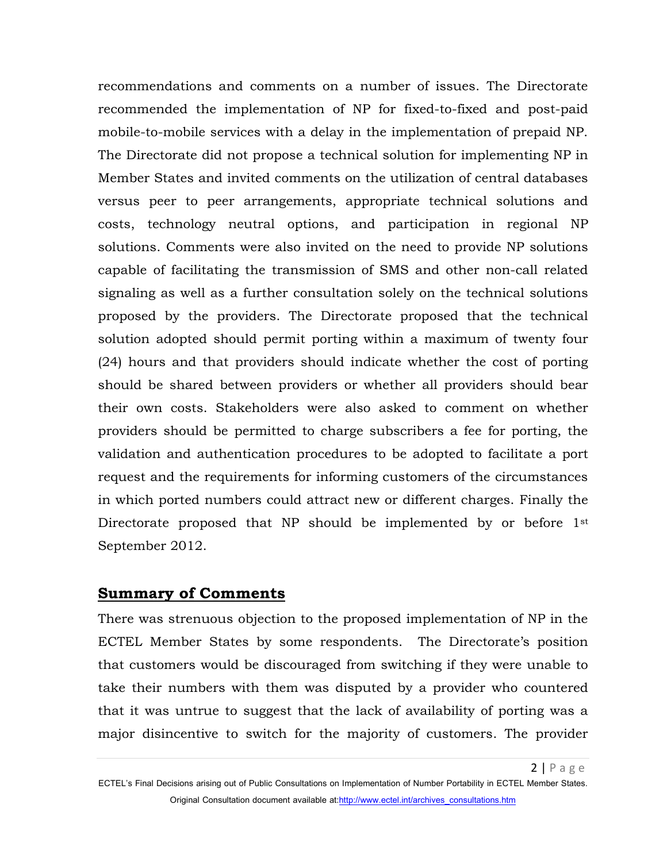recommendations and comments on a number of issues. The Directorate recommended the implementation of NP for fixed-to-fixed and post-paid mobile-to-mobile services with a delay in the implementation of prepaid NP. The Directorate did not propose a technical solution for implementing NP in Member States and invited comments on the utilization of central databases versus peer to peer arrangements, appropriate technical solutions and costs, technology neutral options, and participation in regional NP solutions. Comments were also invited on the need to provide NP solutions capable of facilitating the transmission of SMS and other non-call related signaling as well as a further consultation solely on the technical solutions proposed by the providers. The Directorate proposed that the technical solution adopted should permit porting within a maximum of twenty four (24) hours and that providers should indicate whether the cost of porting should be shared between providers or whether all providers should bear their own costs. Stakeholders were also asked to comment on whether providers should be permitted to charge subscribers a fee for porting, the validation and authentication procedures to be adopted to facilitate a port request and the requirements for informing customers of the circumstances in which ported numbers could attract new or different charges. Finally the Directorate proposed that NP should be implemented by or before 1<sup>st</sup> September 2012.

### **Summary of Comments**

There was strenuous objection to the proposed implementation of NP in the ECTEL Member States by some respondents. The Directorate's position that customers would be discouraged from switching if they were unable to take their numbers with them was disputed by a provider who countered that it was untrue to suggest that the lack of availability of porting was a major disincentive to switch for the majority of customers. The provider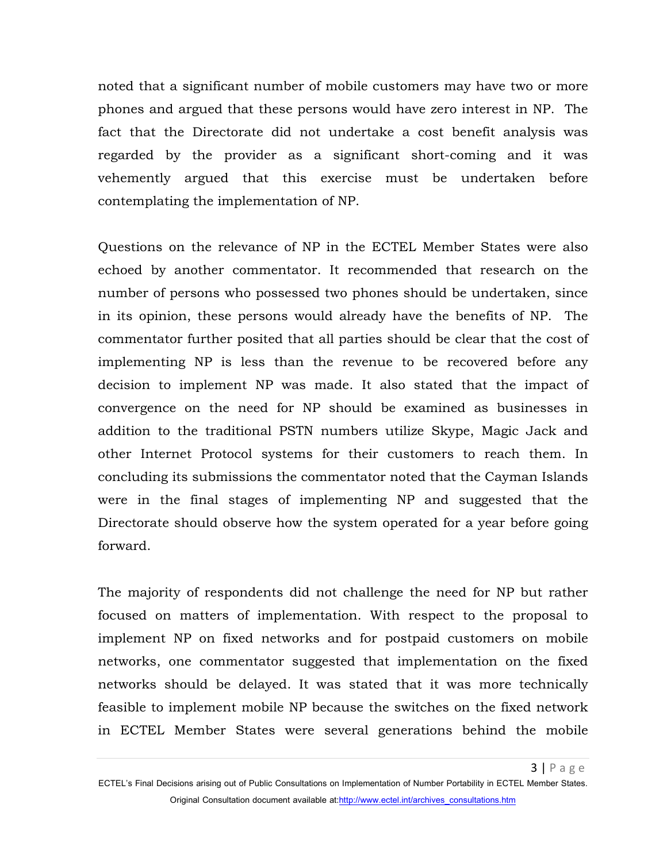noted that a significant number of mobile customers may have two or more phones and argued that these persons would have zero interest in NP. The fact that the Directorate did not undertake a cost benefit analysis was regarded by the provider as a significant short-coming and it was vehemently argued that this exercise must be undertaken before contemplating the implementation of NP.

Questions on the relevance of NP in the ECTEL Member States were also echoed by another commentator. It recommended that research on the number of persons who possessed two phones should be undertaken, since in its opinion, these persons would already have the benefits of NP. The commentator further posited that all parties should be clear that the cost of implementing NP is less than the revenue to be recovered before any decision to implement NP was made. It also stated that the impact of convergence on the need for NP should be examined as businesses in addition to the traditional PSTN numbers utilize Skype, Magic Jack and other Internet Protocol systems for their customers to reach them. In concluding its submissions the commentator noted that the Cayman Islands were in the final stages of implementing NP and suggested that the Directorate should observe how the system operated for a year before going forward.

The majority of respondents did not challenge the need for NP but rather focused on matters of implementation. With respect to the proposal to implement NP on fixed networks and for postpaid customers on mobile networks, one commentator suggested that implementation on the fixed networks should be delayed. It was stated that it was more technically feasible to implement mobile NP because the switches on the fixed network in ECTEL Member States were several generations behind the mobile

ECTEL's Final Decisions arising out of Public Consultations on Implementation of Number Portability in ECTEL Member States. Original Consultation document available at:http://www.ectel.int/archives\_consultations.htm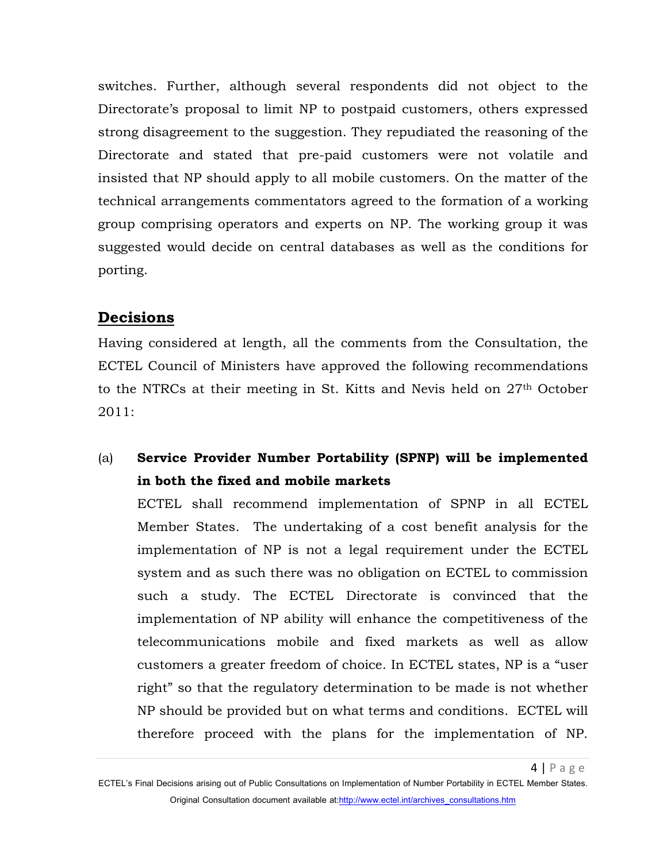switches. Further, although several respondents did not object to the Directorate's proposal to limit NP to postpaid customers, others expressed strong disagreement to the suggestion. They repudiated the reasoning of the Directorate and stated that pre-paid customers were not volatile and insisted that NP should apply to all mobile customers. On the matter of the technical arrangements commentators agreed to the formation of a working group comprising operators and experts on NP. The working group it was suggested would decide on central databases as well as the conditions for porting.

### **Decisions**

Having considered at length, all the comments from the Consultation, the ECTEL Council of Ministers have approved the following recommendations to the NTRCs at their meeting in St. Kitts and Nevis held on 27th October 2011:

## (a) **Service Provider Number Portability (SPNP) will be implemented in both the fixed and mobile markets**

ECTEL shall recommend implementation of SPNP in all ECTEL Member States. The undertaking of a cost benefit analysis for the implementation of NP is not a legal requirement under the ECTEL system and as such there was no obligation on ECTEL to commission such a study. The ECTEL Directorate is convinced that the implementation of NP ability will enhance the competitiveness of the telecommunications mobile and fixed markets as well as allow customers a greater freedom of choice. In ECTEL states, NP is a "user right" so that the regulatory determination to be made is not whether NP should be provided but on what terms and conditions. ECTEL will therefore proceed with the plans for the implementation of NP.

ECTEL's Final Decisions arising out of Public Consultations on Implementation of Number Portability in ECTEL Member States. Original Consultation document available at:http://www.ectel.int/archives\_consultations.htm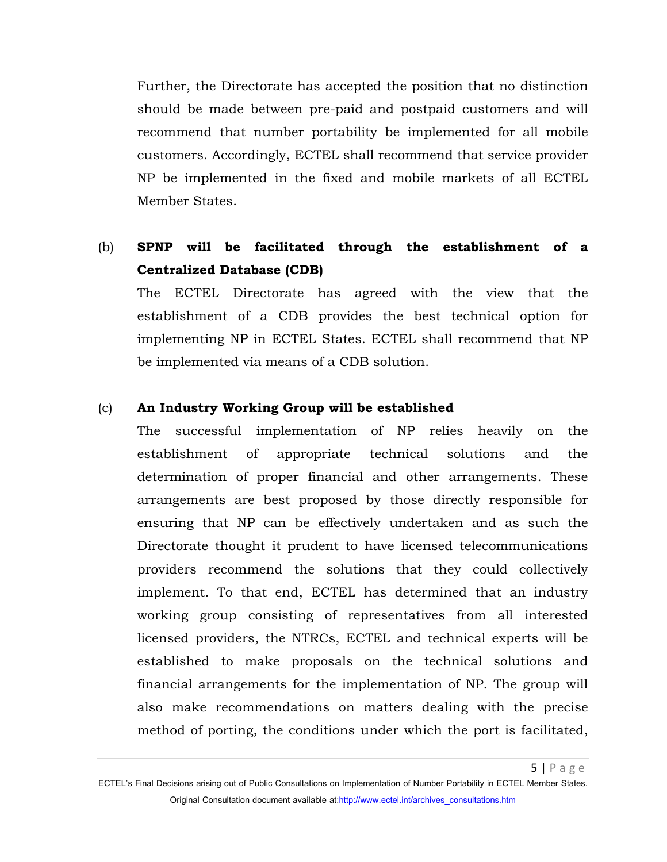Further, the Directorate has accepted the position that no distinction should be made between pre-paid and postpaid customers and will recommend that number portability be implemented for all mobile customers. Accordingly, ECTEL shall recommend that service provider NP be implemented in the fixed and mobile markets of all ECTEL Member States.

### (b) **SPNP will be facilitated through the establishment of a Centralized Database (CDB)**

The ECTEL Directorate has agreed with the view that the establishment of a CDB provides the best technical option for implementing NP in ECTEL States. ECTEL shall recommend that NP be implemented via means of a CDB solution.

#### (c) **An Industry Working Group will be established**

The successful implementation of NP relies heavily on the establishment of appropriate technical solutions and the determination of proper financial and other arrangements. These arrangements are best proposed by those directly responsible for ensuring that NP can be effectively undertaken and as such the Directorate thought it prudent to have licensed telecommunications providers recommend the solutions that they could collectively implement. To that end, ECTEL has determined that an industry working group consisting of representatives from all interested licensed providers, the NTRCs, ECTEL and technical experts will be established to make proposals on the technical solutions and financial arrangements for the implementation of NP. The group will also make recommendations on matters dealing with the precise method of porting, the conditions under which the port is facilitated,